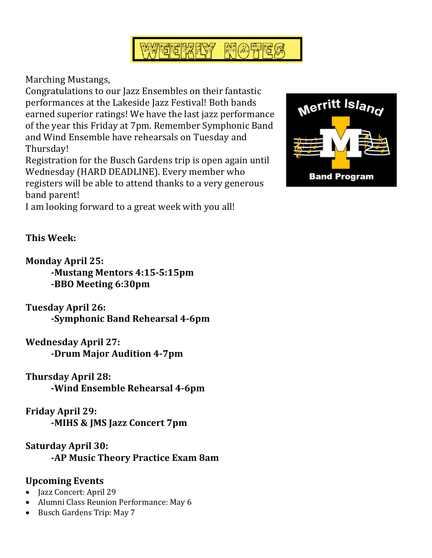

Marching Mustangs,

Congratulations to our Jazz Ensembles on their fantastic performances at the Lakeside Jazz Festival! Both bands earned superior ratings! We have the last jazz performance of the year this Friday at 7pm. Remember Symphonic Band and Wind Ensemble have rehearsals on Tuesday and Thursday!

Registration for the Busch Gardens trip is open again until Wednesday (HARD DEADLINE). Every member who registers will be able to attend thanks to a very generous band parent!

I am looking forward to a great week with you all!



**This Week:**

**Monday April 25: -Mustang Mentors 4:15-5:15pm -BBO Meeting 6:30pm**

**Tuesday April 26: -Symphonic Band Rehearsal 4-6pm**

**Wednesday April 27: -Drum Major Audition 4-7pm**

**Thursday April 28:**

**-Wind Ensemble Rehearsal 4-6pm**

**Friday April 29: -MIHS & JMS Jazz Concert 7pm**

**Saturday April 30: -AP Music Theory Practice Exam 8am**

## **Upcoming Events**

- Jazz Concert: April 29
- Alumni Class Reunion Performance: May 6
- Busch Gardens Trip: May 7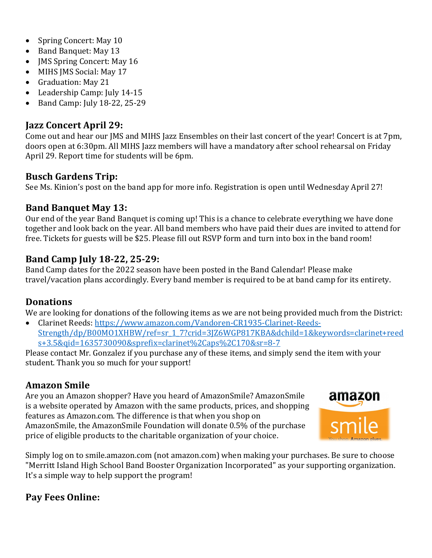- Spring Concert: May 10
- Band Banquet: May 13
- JMS Spring Concert: May 16
- MIHS JMS Social: May 17
- Graduation: May 21
- Leadership Camp: July 14-15
- $\bullet$  Band Camp: July 18-22, 25-29

#### **Jazz Concert April 29:**

Come out and hear our JMS and MIHS Jazz Ensembles on their last concert of the year! Concert is at 7pm, doors open at 6:30pm. All MIHS Jazz members will have a mandatory after school rehearsal on Friday April 29. Report time for students will be 6pm.

#### **Busch Gardens Trip:**

See Ms. Kinion's post on the band app for more info. Registration is open until Wednesday April 27!

#### **Band Banquet May 13:**

Our end of the year Band Banquet is coming up! This is a chance to celebrate everything we have done together and look back on the year. All band members who have paid their dues are invited to attend for free. Tickets for guests will be \$25. Please fill out RSVP form and turn into box in the band room!

#### **Band Camp July 18-22, 25-29:**

Band Camp dates for the 2022 season have been posted in the Band Calendar! Please make travel/vacation plans accordingly. Every band member is required to be at band camp for its entirety.

#### **Donations**

We are looking for donations of the following items as we are not being provided much from the District:

• Clarinet Reeds: https://www.amazon.com/Vandoren-CR1935-Clarinet-Reeds-Strength/dp/B00MO1XHBW/ref=sr\_1\_7?crid=3JZ6WGP817KBA&dchild=1&keywords=clarinet+reed s+3.5&qid=1635730090&sprefix=clarinet%2Caps%2C170&sr=8-7

Please contact Mr. Gonzalez if you purchase any of these items, and simply send the item with your student. Thank you so much for your support!

## **Amazon Smile**

Are you an Amazon shopper? Have you heard of AmazonSmile? AmazonSmile is a website operated by Amazon with the same products, prices, and shopping features as Amazon.com. The difference is that when you shop on AmazonSmile, the AmazonSmile Foundation will donate 0.5% of the purchase price of eligible products to the charitable organization of your choice.



Simply log on to smile.amazon.com (not amazon.com) when making your purchases. Be sure to choose "Merritt Island High School Band Booster Organization Incorporated" as your supporting organization. It's a simple way to help support the program!

## **Pay Fees Online:**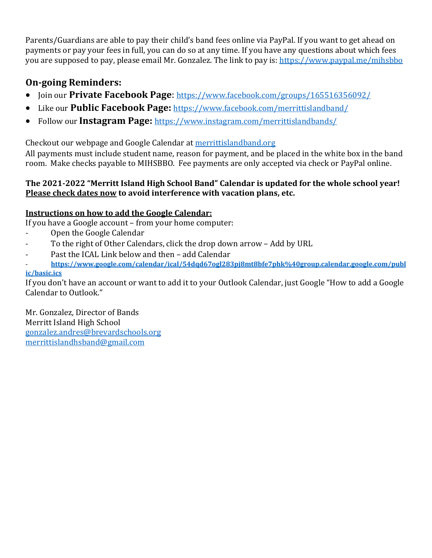Parents/Guardians are able to pay their child's band fees online via PayPal. If you want to get ahead on payments or pay your fees in full, you can do so at any time. If you have any questions about which fees you are supposed to pay, please email Mr. Gonzalez. The link to pay is: https://www.paypal.me/mihsbbo

## **On-going Reminders:**

- Join our **Private Facebook Page**: https://www.facebook.com/groups/165516356092/
- Like our **Public Facebook Page:** https://www.facebook.com/merrittislandband/
- Follow our Instagram Page: https://www.instagram.com/merrittislandbands/

Checkout our webpage and Google Calendar at merrittislandband.org

All payments must include student name, reason for payment, and be placed in the white box in the band room. Make checks payable to MIHSBBO. Fee payments are only accepted via check or PayPal online.

#### The 2021-2022 "Merritt Island High School Band" Calendar is updated for the whole school vear! **Please check dates now to avoid interference with vacation plans, etc.**

#### **Instructions on how to add the Google Calendar:**

If you have a Google account – from your home computer:

- Open the Google Calendar
- To the right of Other Calendars, click the drop down arrow Add by URL
- Past the ICAL Link below and then add Calendar
- **https://www.google.com/calendar/ical/54dqd67ogl283pj8mt8bfe7phk%40group.calendar.google.com/publ ic/basic.ics**

If you don't have an account or want to add it to your Outlook Calendar, just Google "How to add a Google Calendar to Outlook."

Mr. Gonzalez, Director of Bands Merritt Island High School gonzalez.andres@brevardschools.org merrittislandhsband@gmail.com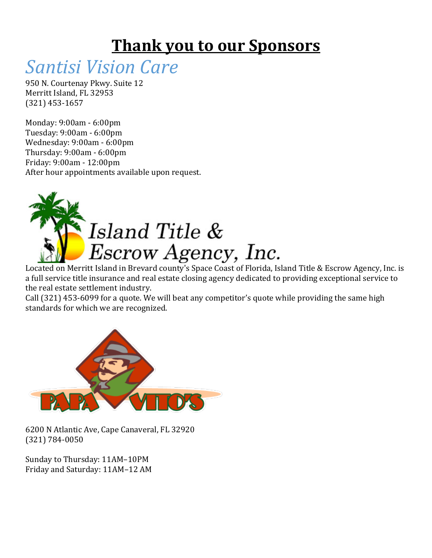## **Thank you to our Sponsors**

# *Santisi Vision Care*

950 N. Courtenay Pkwy. Suite 12 Merritt Island, FL 32953 (321) 453-1657

Monday: 9:00am - 6:00pm Tuesday: 9:00am - 6:00pm Wednesday: 9:00am - 6:00pm Thursday: 9:00am - 6:00pm Friday: 9:00am - 12:00pm After hour appointments available upon request.



Located on Merritt Island in Brevard county's Space Coast of Florida, Island Title & Escrow Agency, Inc. is a full service title insurance and real estate closing agency dedicated to providing exceptional service to the real estate settlement industry.

Call (321) 453-6099 for a quote. We will beat any competitor's quote while providing the same high standards for which we are recognized.



6200 N Atlantic Ave, Cape Canaveral, FL 32920 (321) 784-0050

Sunday to Thursday: 11AM-10PM Friday and Saturday: 11AM-12 AM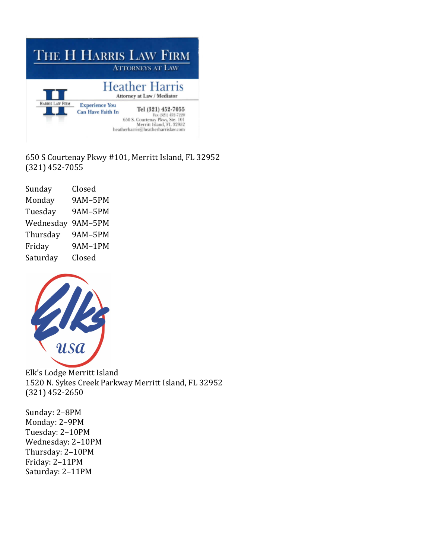| THE H HARRIS LAW FIRM<br><b>ATTORNEYS AT LAW</b> |                                                     |                                                                                                                                               |
|--------------------------------------------------|-----------------------------------------------------|-----------------------------------------------------------------------------------------------------------------------------------------------|
|                                                  | <b>Heather Harris</b><br>Attorney at Law / Mediator |                                                                                                                                               |
| HARRIS LAW FIRM                                  | <b>Experience You</b><br><b>Can Have Faith In</b>   | Tel (321) 452-7055<br>Fax (321) 452-7220<br>650 S. Courtenay Pkwy, Ste. 101<br>Merritt Island, FL 32952<br>heatherharris@heatherharrislaw.com |

650 S Courtenay Pkwy #101, Merritt Island, FL 32952  $(321)$  452-7055

| Sunday    | Closed         |
|-----------|----------------|
| Monday    | <b>9AM-5PM</b> |
| Tuesday   | <b>9AM-5PM</b> |
| Wednesday | 9AM-5PM        |
| Thursday  | <b>9AM-5PM</b> |
| Friday    | 9AM-1PM        |
| Saturday  | Closed         |



Elk's Lodge Merritt Island 1520 N. Sykes Creek Parkway Merritt Island, FL 32952  $(321)$  452-2650

Sunday: 2-8PM Monday: 2-9PM Tuesday: 2–10PM Wednesday: 2-10PM Thursday: 2–10PM Friday: 2–11PM Saturday: 2-11PM